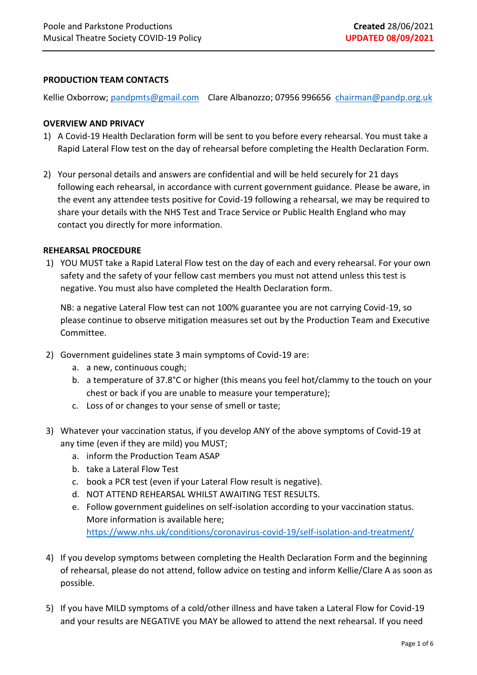### **PRODUCTION TEAM CONTACTS**

Kellie Oxborrow; [pandpmts@gmail.com](mailto:pandpmts@gmail.com) Clare Albanozzo; 07956 996656 [chairman@pandp.org.uk](mailto:chairman@pandp.org.uk) 

### **OVERVIEW AND PRIVACY**

- 1) A Covid-19 Health Declaration form will be sent to you before every rehearsal. You must take a Rapid Lateral Flow test on the day of rehearsal before completing the Health Declaration Form.
- 2) Your personal details and answers are confidential and will be held securely for 21 days following each rehearsal, in accordance with current government guidance. Please be aware, in the event any attendee tests positive for Covid-19 following a rehearsal, we may be required to share your details with the NHS Test and Trace Service or Public Health England who may contact you directly for more information.

#### **REHEARSAL PROCEDURE**

1) YOU MUST take a Rapid Lateral Flow test on the day of each and every rehearsal. For your own safety and the safety of your fellow cast members you must not attend unless this test is negative. You must also have completed the Health Declaration form.

NB: a negative Lateral Flow test can not 100% guarantee you are not carrying Covid-19, so please continue to observe mitigation measures set out by the Production Team and Executive Committee.

- 2) Government guidelines state 3 main symptoms of Covid-19 are:
	- a. a new, continuous cough;
	- b. a temperature of 37.8°C or higher (this means you feel hot/clammy to the touch on your chest or back if you are unable to measure your temperature);
	- c. Loss of or changes to your sense of smell or taste;
- 3) Whatever your vaccination status, if you develop ANY of the above symptoms of Covid-19 at any time (even if they are mild) you MUST;
	- a. inform the Production Team ASAP
	- b. take a Lateral Flow Test
	- c. book a PCR test (even if your Lateral Flow result is negative).
	- d. NOT ATTEND REHEARSAL WHILST AWAITING TEST RESULTS.
	- e. Follow government guidelines on self-isolation according to your vaccination status. More information is available here; <https://www.nhs.uk/conditions/coronavirus-covid-19/self-isolation-and-treatment/>
- 4) If you develop symptoms between completing the Health Declaration Form and the beginning of rehearsal, please do not attend, follow advice on testing and inform Kellie/Clare A as soon as possible.
- 5) If you have MILD symptoms of a cold/other illness and have taken a Lateral Flow for Covid-19 and your results are NEGATIVE you MAY be allowed to attend the next rehearsal. If you need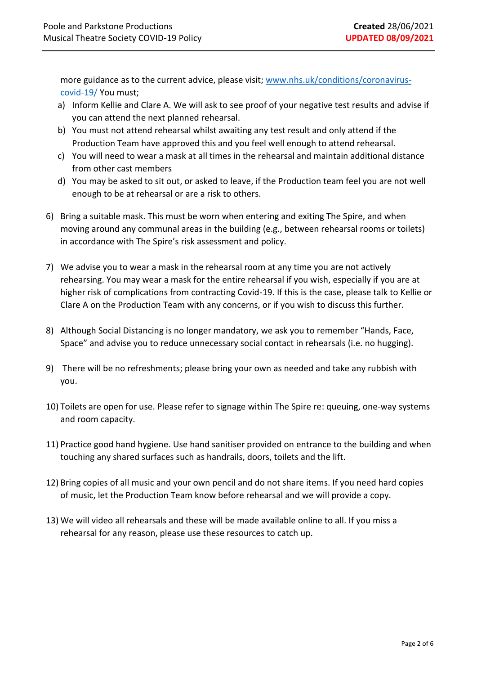more guidance as to the current advice, please visit; [www.nhs.uk/conditions/coronavirus](http://www.nhs.uk/conditions/coronavirus-covid-19/)[covid-19/](http://www.nhs.uk/conditions/coronavirus-covid-19/) You must;

- a) Inform Kellie and Clare A. We will ask to see proof of your negative test results and advise if you can attend the next planned rehearsal.
- b) You must not attend rehearsal whilst awaiting any test result and only attend if the Production Team have approved this and you feel well enough to attend rehearsal.
- c) You will need to wear a mask at all times in the rehearsal and maintain additional distance from other cast members
- d) You may be asked to sit out, or asked to leave, if the Production team feel you are not well enough to be at rehearsal or are a risk to others.
- 6) Bring a suitable mask. This must be worn when entering and exiting The Spire, and when moving around any communal areas in the building (e.g., between rehearsal rooms or toilets) in accordance with The Spire's risk assessment and policy.
- 7) We advise you to wear a mask in the rehearsal room at any time you are not actively rehearsing. You may wear a mask for the entire rehearsal if you wish, especially if you are at higher risk of complications from contracting Covid-19. If this is the case, please talk to Kellie or Clare A on the Production Team with any concerns, or if you wish to discuss this further.
- 8) Although Social Distancing is no longer mandatory, we ask you to remember "Hands, Face, Space" and advise you to reduce unnecessary social contact in rehearsals (i.e. no hugging).
- 9) There will be no refreshments; please bring your own as needed and take any rubbish with you.
- 10) Toilets are open for use. Please refer to signage within The Spire re: queuing, one-way systems and room capacity.
- 11) Practice good hand hygiene. Use hand sanitiser provided on entrance to the building and when touching any shared surfaces such as handrails, doors, toilets and the lift.
- 12) Bring copies of all music and your own pencil and do not share items. If you need hard copies of music, let the Production Team know before rehearsal and we will provide a copy.
- 13) We will video all rehearsals and these will be made available online to all. If you miss a rehearsal for any reason, please use these resources to catch up.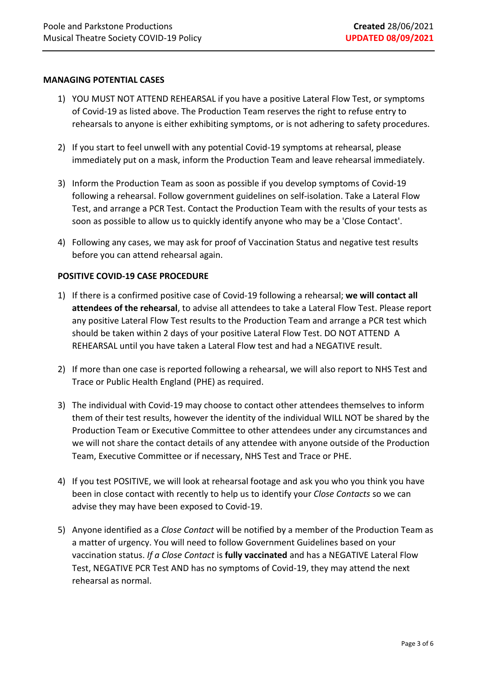### **MANAGING POTENTIAL CASES**

- 1) YOU MUST NOT ATTEND REHEARSAL if you have a positive Lateral Flow Test, or symptoms of Covid-19 as listed above. The Production Team reserves the right to refuse entry to rehearsals to anyone is either exhibiting symptoms, or is not adhering to safety procedures.
- 2) If you start to feel unwell with any potential Covid-19 symptoms at rehearsal, please immediately put on a mask, inform the Production Team and leave rehearsal immediately.
- 3) Inform the Production Team as soon as possible if you develop symptoms of Covid-19 following a rehearsal. Follow government guidelines on self-isolation. Take a Lateral Flow Test, and arrange a PCR Test. Contact the Production Team with the results of your tests as soon as possible to allow us to quickly identify anyone who may be a 'Close Contact'.
- 4) Following any cases, we may ask for proof of Vaccination Status and negative test results before you can attend rehearsal again.

## **POSITIVE COVID-19 CASE PROCEDURE**

- 1) If there is a confirmed positive case of Covid-19 following a rehearsal; **we will contact all attendees of the rehearsal**, to advise all attendees to take a Lateral Flow Test. Please report any positive Lateral Flow Test results to the Production Team and arrange a PCR test which should be taken within 2 days of your positive Lateral Flow Test. DO NOT ATTEND A REHEARSAL until you have taken a Lateral Flow test and had a NEGATIVE result.
- 2) If more than one case is reported following a rehearsal, we will also report to NHS Test and Trace or Public Health England (PHE) as required.
- 3) The individual with Covid-19 may choose to contact other attendees themselves to inform them of their test results, however the identity of the individual WILL NOT be shared by the Production Team or Executive Committee to other attendees under any circumstances and we will not share the contact details of any attendee with anyone outside of the Production Team, Executive Committee or if necessary, NHS Test and Trace or PHE.
- 4) If you test POSITIVE, we will look at rehearsal footage and ask you who you think you have been in close contact with recently to help us to identify your *Close Contacts* so we can advise they may have been exposed to Covid-19.
- 5) Anyone identified as a *Close Contact* will be notified by a member of the Production Team as a matter of urgency. You will need to follow Government Guidelines based on your vaccination status. *If a Close Contact* is **fully vaccinated** and has a NEGATIVE Lateral Flow Test, NEGATIVE PCR Test AND has no symptoms of Covid-19, they may attend the next rehearsal as normal.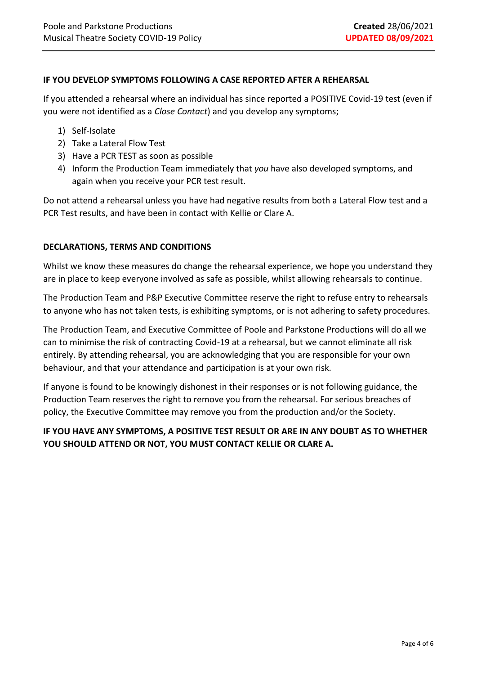### **IF YOU DEVELOP SYMPTOMS FOLLOWING A CASE REPORTED AFTER A REHEARSAL**

If you attended a rehearsal where an individual has since reported a POSITIVE Covid-19 test (even if you were not identified as a *Close Contact*) and you develop any symptoms;

- 1) Self-Isolate
- 2) Take a Lateral Flow Test
- 3) Have a PCR TEST as soon as possible
- 4) Inform the Production Team immediately that *you* have also developed symptoms, and again when you receive your PCR test result.

Do not attend a rehearsal unless you have had negative results from both a Lateral Flow test and a PCR Test results, and have been in contact with Kellie or Clare A.

### **DECLARATIONS, TERMS AND CONDITIONS**

Whilst we know these measures do change the rehearsal experience, we hope you understand they are in place to keep everyone involved as safe as possible, whilst allowing rehearsals to continue.

The Production Team and P&P Executive Committee reserve the right to refuse entry to rehearsals to anyone who has not taken tests, is exhibiting symptoms, or is not adhering to safety procedures.

The Production Team, and Executive Committee of Poole and Parkstone Productions will do all we can to minimise the risk of contracting Covid-19 at a rehearsal, but we cannot eliminate all risk entirely. By attending rehearsal, you are acknowledging that you are responsible for your own behaviour, and that your attendance and participation is at your own risk.

If anyone is found to be knowingly dishonest in their responses or is not following guidance, the Production Team reserves the right to remove you from the rehearsal. For serious breaches of policy, the Executive Committee may remove you from the production and/or the Society.

## **IF YOU HAVE ANY SYMPTOMS, A POSITIVE TEST RESULT OR ARE IN ANY DOUBT AS TO WHETHER YOU SHOULD ATTEND OR NOT, YOU MUST CONTACT KELLIE OR CLARE A.**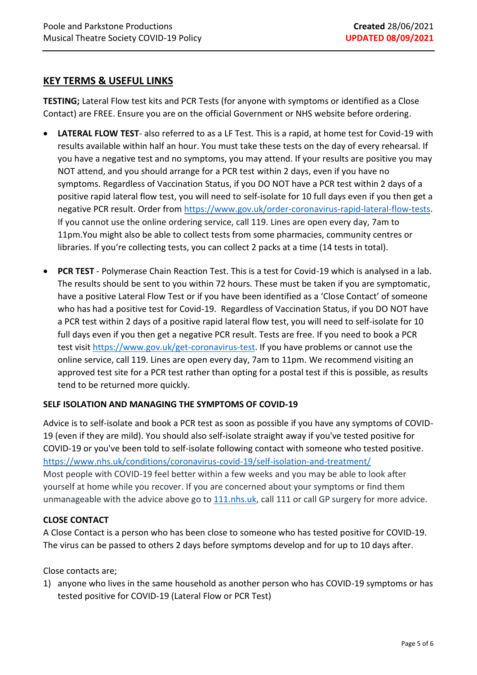# **KEY TERMS & USEFUL LINKS**

**TESTING;** Lateral Flow test kits and PCR Tests (for anyone with symptoms or identified as a Close Contact) are FREE. Ensure you are on the official Government or NHS website before ordering.

- **LATERAL FLOW TEST** also referred to as a LF Test. This is a rapid, at home test for Covid-19 with results available within half an hour. You must take these tests on the day of every rehearsal. If you have a negative test and no symptoms, you may attend. If your results are positive you may NOT attend, and you should arrange for a PCR test within 2 days, even if you have no symptoms. Regardless of Vaccination Status, if you DO NOT have a PCR test within 2 days of a positive rapid lateral flow test, you will need to self-isolate for 10 full days even if you then get a negative PCR result. Order from [https://www.gov.uk/order-coronavirus-rapid-lateral-flow-tests.](https://www.gov.uk/order-coronavirus-rapid-lateral-flow-tests) If you cannot use the online ordering service, call 119. Lines are open every day, 7am to 11pm.You might also be able to collect tests from some pharmacies, community centres or libraries. If you're collecting tests, you can collect 2 packs at a time (14 tests in total).
- **PCR TEST** Polymerase Chain Reaction Test. This is a test for Covid-19 which is analysed in a lab. The results should be sent to you within 72 hours. These must be taken if you are symptomatic, have a positive Lateral Flow Test or if you have been identified as a 'Close Contact' of someone who has had a positive test for Covid-19. Regardless of Vaccination Status, if you DO NOT have a PCR test within 2 days of a positive rapid lateral flow test, you will need to self-isolate for 10 full days even if you then get a negative PCR result. Tests are free. If you need to book a PCR test visit [https://www.gov.uk/get-coronavirus-test.](https://www.gov.uk/get-coronavirus-test) If you have problems or cannot use the online service, call 119. Lines are open every day, 7am to 11pm. We recommend visiting an approved test site for a PCR test rather than opting for a postal test if this is possible, as results tend to be returned more quickly.

## **SELF ISOLATION AND MANAGING THE SYMPTOMS OF COVID-19**

Advice is to self-isolate and book a PCR test as soon as possible if you have any symptoms of COVID-19 (even if they are mild). You should also self-isolate straight away if you've tested positive for COVID-19 or you've been told to self-isolate following contact with someone who tested positive. <https://www.nhs.uk/conditions/coronavirus-covid-19/self-isolation-and-treatment/> Most people with COVID-19 feel better within a few weeks and you may be able to look after yourself at home while you recover. If you are concerned about your symptoms or find them unmanageable with the advice above go to [111.nhs.uk,](https://111.nhs.uk/covid-19/) call 111 or call GP surgery for more advice.

## **CLOSE CONTACT**

A Close Contact is a person who has been close to someone who has tested positive for COVID-19. The virus can be passed to others 2 days before symptoms develop and for up to 10 days after.

Close contacts are;

1) anyone who lives in the same household as another person who has COVID-19 symptoms or has tested positive for COVID-19 (Lateral Flow or PCR Test)